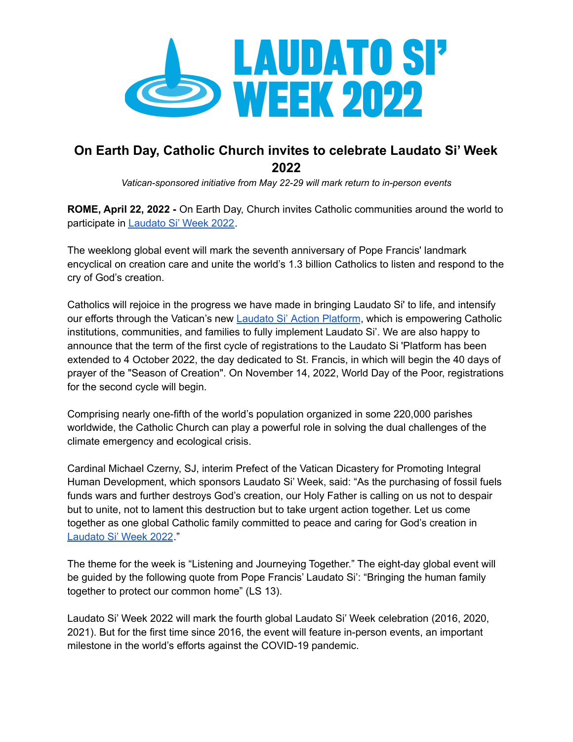

## **On Earth Day, Catholic Church invites to celebrate Laudato Si' Week 2022**

*Vatican-sponsored initiative from May 22-29 will mark return to in-person events*

**ROME, April 22, 2022 -** On Earth Day, Church invites Catholic communities around the world to participate in [Laudato](https://laudatosiweek.org/?utm_source=blogen&utm_medium=blog&utm_campaign=Laudato+Si+Week) Si' Week 2022.

The weeklong global event will mark the seventh anniversary of Pope Francis' landmark encyclical on creation care and unite the world's 1.3 billion Catholics to listen and respond to the cry of God's creation.

Catholics will rejoice in the progress we have made in bringing Laudato Si' to life, and intensify our efforts through the Vatican's new Laudato Si' Action [Platform](https://www.laudatosi.va/en.html), which is empowering Catholic institutions, communities, and families to fully implement Laudato Si'. We are also happy to announce that the term of the first cycle of registrations to the Laudato Si 'Platform has been extended to 4 October 2022, the day dedicated to St. Francis, in which will begin the 40 days of prayer of the "Season of Creation". On November 14, 2022, World Day of the Poor, registrations for the second cycle will begin.

Comprising nearly one-fifth of the world's population organized in some 220,000 parishes worldwide, the Catholic Church can play a powerful role in solving the dual challenges of the climate emergency and ecological crisis.

Cardinal Michael Czerny, SJ, interim Prefect of the Vatican Dicastery for Promoting Integral Human Development, which sponsors Laudato Si' Week, said: "As the purchasing of fossil fuels funds wars and further destroys God's creation, our Holy Father is calling on us not to despair but to unite, not to lament this destruction but to take urgent action together. Let us come together as one global Catholic family committed to peace and caring for God's creation in [Laudato](https://laudatosiweek.org/?utm_source=blogen&utm_medium=blog&utm_campaign=Laudato+Si+Week) Si' Week 2022."

The theme for the week is "Listening and Journeying Together." The eight-day global event will be guided by the following quote from Pope Francis' Laudato Si': "Bringing the human family together to protect our common home" (LS 13).

Laudato Si' Week 2022 will mark the fourth global Laudato Si' Week celebration (2016, 2020, 2021). But for the first time since 2016, the event will feature in-person events, an important milestone in the world's efforts against the COVID-19 pandemic.